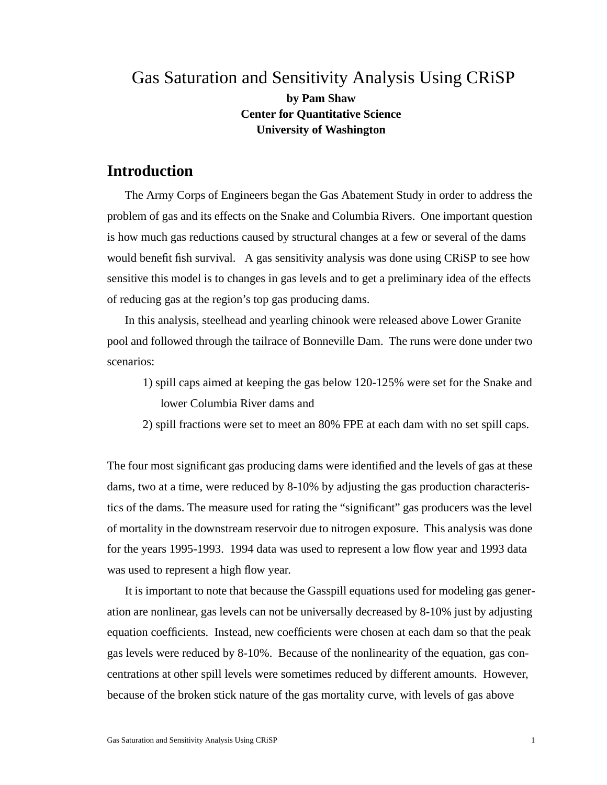# Gas Saturation and Sensitivity Analysis Using CRiSP **by Pam Shaw Center for Quantitative Science University of Washington**

# **Introduction**

The Army Corps of Engineers began the Gas Abatement Study in order to address the problem of gas and its effects on the Snake and Columbia Rivers. One important question is how much gas reductions caused by structural changes at a few or several of the dams would benefit fish survival. A gas sensitivity analysis was done using CRiSP to see how sensitive this model is to changes in gas levels and to get a preliminary idea of the effects of reducing gas at the region's top gas producing dams.

In this analysis, steelhead and yearling chinook were released above Lower Granite pool and followed through the tailrace of Bonneville Dam. The runs were done under two scenarios:

1) spill caps aimed at keeping the gas below 120-125% were set for the Snake and lower Columbia River dams and

2) spill fractions were set to meet an 80% FPE at each dam with no set spill caps.

The four most significant gas producing dams were identified and the levels of gas at these dams, two at a time, were reduced by 8-10% by adjusting the gas production characteristics of the dams. The measure used for rating the "significant" gas producers was the level of mortality in the downstream reservoir due to nitrogen exposure. This analysis was done for the years 1995-1993. 1994 data was used to represent a low flow year and 1993 data was used to represent a high flow year.

It is important to note that because the Gasspill equations used for modeling gas generation are nonlinear, gas levels can not be universally decreased by 8-10% just by adjusting equation coefficients. Instead, new coefficients were chosen at each dam so that the peak gas levels were reduced by 8-10%. Because of the nonlinearity of the equation, gas concentrations at other spill levels were sometimes reduced by different amounts. However, because of the broken stick nature of the gas mortality curve, with levels of gas above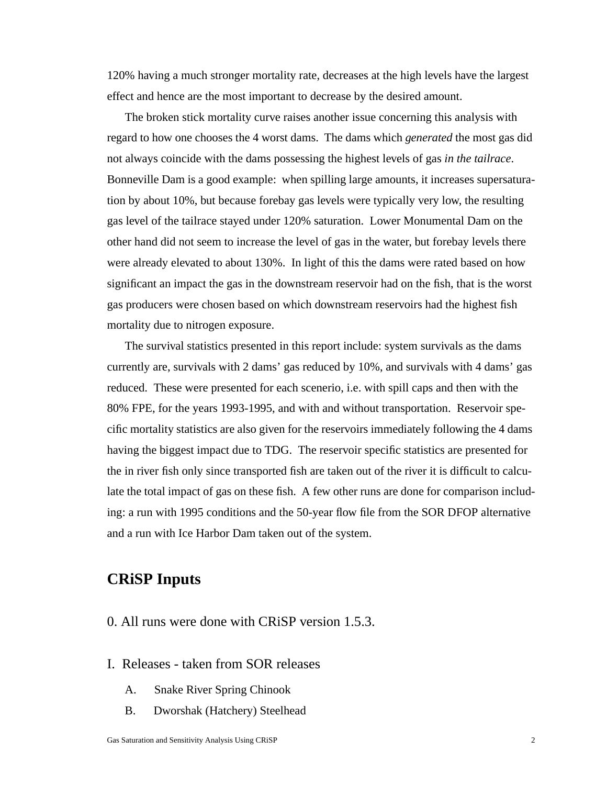120% having a much stronger mortality rate, decreases at the high levels have the largest effect and hence are the most important to decrease by the desired amount.

The broken stick mortality curve raises another issue concerning this analysis with regard to how one chooses the 4 worst dams. The dams which *generated* the most gas did not always coincide with the dams possessing the highest levels of gas *in the tailrace*. Bonneville Dam is a good example: when spilling large amounts, it increases supersaturation by about 10%, but because forebay gas levels were typically very low, the resulting gas level of the tailrace stayed under 120% saturation. Lower Monumental Dam on the other hand did not seem to increase the level of gas in the water, but forebay levels there were already elevated to about 130%. In light of this the dams were rated based on how significant an impact the gas in the downstream reservoir had on the fish, that is the worst gas producers were chosen based on which downstream reservoirs had the highest fish mortality due to nitrogen exposure.

The survival statistics presented in this report include: system survivals as the dams currently are, survivals with 2 dams' gas reduced by 10%, and survivals with 4 dams' gas reduced. These were presented for each scenerio, i.e. with spill caps and then with the 80% FPE, for the years 1993-1995, and with and without transportation. Reservoir specific mortality statistics are also given for the reservoirs immediately following the 4 dams having the biggest impact due to TDG. The reservoir specific statistics are presented for the in river fish only since transported fish are taken out of the river it is difficult to calculate the total impact of gas on these fish. A few other runs are done for comparison including: a run with 1995 conditions and the 50-year flow file from the SOR DFOP alternative and a run with Ice Harbor Dam taken out of the system.

# **CRiSP Inputs**

- 0. All runs were done with CRiSP version 1.5.3.
- I. Releases taken from SOR releases
	- A. Snake River Spring Chinook
	- B. Dworshak (Hatchery) Steelhead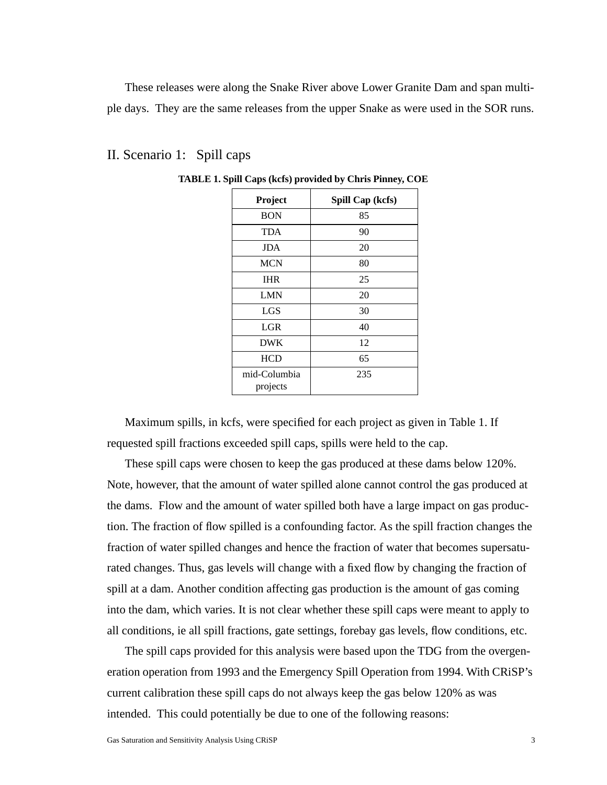These releases were along the Snake River above Lower Granite Dam and span multiple days. They are the same releases from the upper Snake as were used in the SOR runs.

| Project                  | Spill Cap (kcfs) |  |
|--------------------------|------------------|--|
| <b>BON</b>               | 85               |  |
| <b>TDA</b>               | 90               |  |
| <b>JDA</b>               | 20               |  |
| <b>MCN</b>               | 80               |  |
| <b>IHR</b>               | 25               |  |
| LMN                      | 20               |  |
| <b>LGS</b>               | 30               |  |
| <b>LGR</b>               | 40               |  |
| <b>DWK</b>               | 12               |  |
| <b>HCD</b>               | 65               |  |
| mid-Columbia<br>projects | 235              |  |

### II. Scenario 1: Spill caps

**TABLE 1. Spill Caps (kcfs) provided by Chris Pinney, COE**

Maximum spills, in kcfs, were specified for each project as given in Table 1. If requested spill fractions exceeded spill caps, spills were held to the cap.

These spill caps were chosen to keep the gas produced at these dams below 120%. Note, however, that the amount of water spilled alone cannot control the gas produced at the dams. Flow and the amount of water spilled both have a large impact on gas production. The fraction of flow spilled is a confounding factor. As the spill fraction changes the fraction of water spilled changes and hence the fraction of water that becomes supersaturated changes. Thus, gas levels will change with a fixed flow by changing the fraction of spill at a dam. Another condition affecting gas production is the amount of gas coming into the dam, which varies. It is not clear whether these spill caps were meant to apply to all conditions, ie all spill fractions, gate settings, forebay gas levels, flow conditions, etc.

The spill caps provided for this analysis were based upon the TDG from the overgeneration operation from 1993 and the Emergency Spill Operation from 1994. With CRiSP's current calibration these spill caps do not always keep the gas below 120% as was intended. This could potentially be due to one of the following reasons: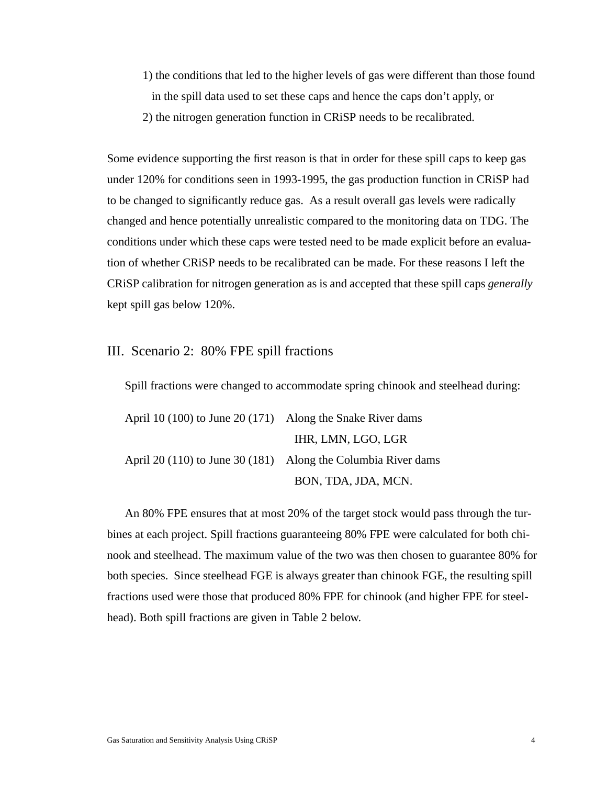1) the conditions that led to the higher levels of gas were different than those found in the spill data used to set these caps and hence the caps don't apply, or 2) the nitrogen generation function in CRiSP needs to be recalibrated.

Some evidence supporting the first reason is that in order for these spill caps to keep gas under 120% for conditions seen in 1993-1995, the gas production function in CRiSP had to be changed to significantly reduce gas. As a result overall gas levels were radically changed and hence potentially unrealistic compared to the monitoring data on TDG. The conditions under which these caps were tested need to be made explicit before an evaluation of whether CRiSP needs to be recalibrated can be made. For these reasons I left the CRiSP calibration for nitrogen generation as is and accepted that these spill caps *generally* kept spill gas below 120%.

### III. Scenario 2: 80% FPE spill fractions

Spill fractions were changed to accommodate spring chinook and steelhead during:

| April 10 (100) to June 20 (171) Along the Snake River dams |                                                               |
|------------------------------------------------------------|---------------------------------------------------------------|
|                                                            | IHR, LMN, LGO, LGR                                            |
|                                                            | April 20 (110) to June 30 (181) Along the Columbia River dams |
|                                                            | BON, TDA, JDA, MCN.                                           |

An 80% FPE ensures that at most 20% of the target stock would pass through the turbines at each project. Spill fractions guaranteeing 80% FPE were calculated for both chinook and steelhead. The maximum value of the two was then chosen to guarantee 80% for both species. Since steelhead FGE is always greater than chinook FGE, the resulting spill fractions used were those that produced 80% FPE for chinook (and higher FPE for steelhead). Both spill fractions are given in Table 2 below.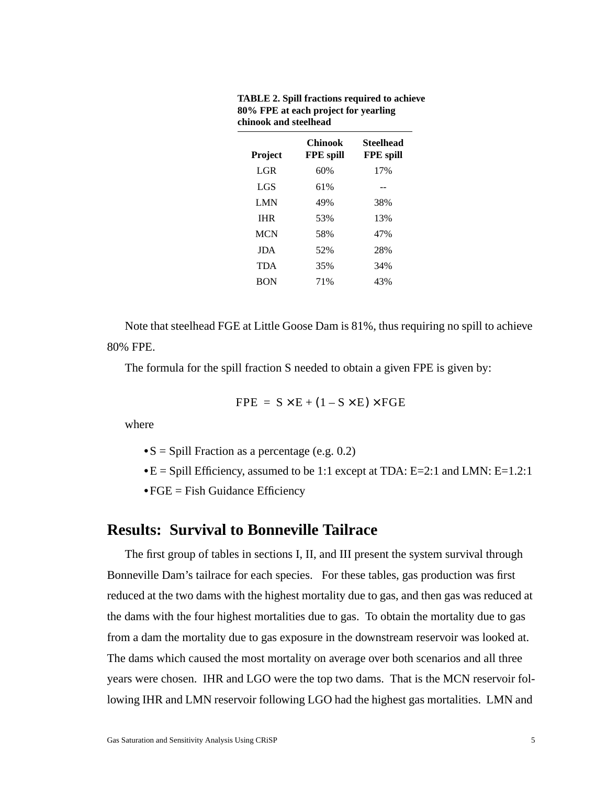| <b>Project</b> | <b>Chinook</b><br><b>FPE</b> spill | Steelhead<br><b>FPE</b> spill |
|----------------|------------------------------------|-------------------------------|
| LGR.           | 60%                                | 17%                           |
| LGS            | 61%                                |                               |
| <b>LMN</b>     | 49%                                | 38%                           |
| <b>IHR</b>     | 53%                                | 13%                           |
| <b>MCN</b>     | 58%                                | 47%                           |
| <b>JDA</b>     | 52%                                | 28%                           |
| <b>TDA</b>     | 35%                                | 34%                           |
| <b>BON</b>     | 71%                                | 43%                           |
|                |                                    |                               |

**TABLE 2. Spill fractions required to achieve 80% FPE at each project for yearling chinook and steelhead**

Note that steelhead FGE at Little Goose Dam is 81%, thus requiring no spill to achieve 80% FPE.

The formula for the spill fraction S needed to obtain a given FPE is given by:

$$
FPE = S \times E + (1 - S \times E) \times FGE
$$

where

**•**S = Spill Fraction as a percentage (e.g. 0.2)

**•**E = Spill Efficiency, assumed to be 1:1 except at TDA: E=2:1 and LMN: E=1.2:1

**•**FGE = Fish Guidance Efficiency

# **Results: Survival to Bonneville Tailrace**

The first group of tables in sections I, II, and III present the system survival through Bonneville Dam's tailrace for each species. For these tables, gas production was first reduced at the two dams with the highest mortality due to gas, and then gas was reduced at the dams with the four highest mortalities due to gas. To obtain the mortality due to gas from a dam the mortality due to gas exposure in the downstream reservoir was looked at. The dams which caused the most mortality on average over both scenarios and all three years were chosen. IHR and LGO were the top two dams. That is the MCN reservoir following IHR and LMN reservoir following LGO had the highest gas mortalities. LMN and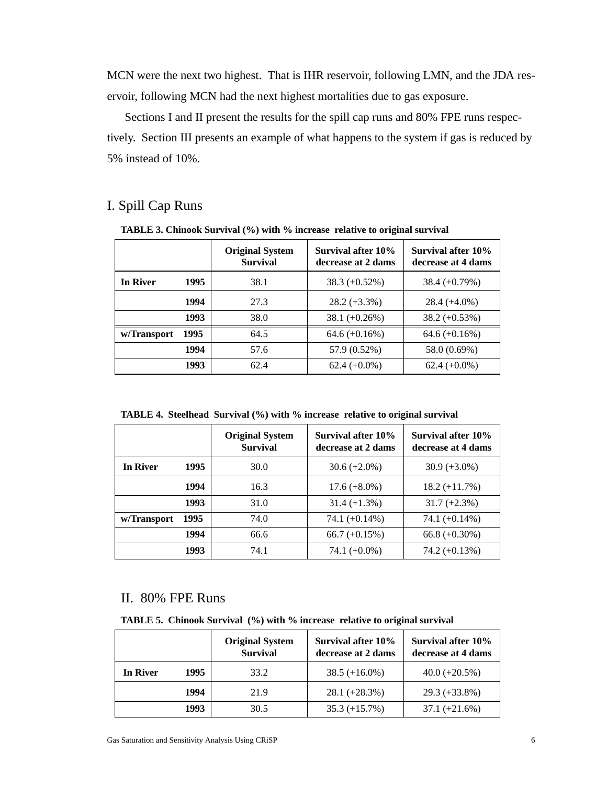MCN were the next two highest. That is IHR reservoir, following LMN, and the JDA reservoir, following MCN had the next highest mortalities due to gas exposure.

Sections I and II present the results for the spill cap runs and 80% FPE runs respectively. Section III presents an example of what happens to the system if gas is reduced by 5% instead of 10%.

## I. Spill Cap Runs

**TABLE 3. Chinook Survival (%) with % increase relative to original survival**

|             |      | <b>Original System</b><br><b>Survival</b> | Survival after 10%<br>decrease at 2 dams | Survival after 10%<br>decrease at 4 dams |
|-------------|------|-------------------------------------------|------------------------------------------|------------------------------------------|
| In River    | 1995 | 38.1                                      | $38.3 (+0.52\%)$                         | $38.4 (+0.79%)$                          |
|             | 1994 | 27.3                                      | $28.2 (+3.3\%)$                          | $28.4 (+4.0\%)$                          |
|             | 1993 | 38.0                                      | $38.1 (+0.26%)$                          | $38.2 (+0.53%)$                          |
| w/Transport | 1995 | 64.5                                      | $64.6 (+0.16%)$                          | $64.6 (+0.16%)$                          |
|             | 1994 | 57.6                                      | 57.9 (0.52%)                             | 58.0 (0.69%)                             |
|             | 1993 | 62.4                                      | $62.4 (+0.0\%)$                          | $62.4 (+0.0\%)$                          |

**TABLE 4. Steelhead Survival (%) with % increase relative to original survival**

|                 |      | <b>Original System</b><br><b>Survival</b> | Survival after 10%<br>decrease at 2 dams | Survival after 10%<br>decrease at 4 dams |
|-----------------|------|-------------------------------------------|------------------------------------------|------------------------------------------|
| <b>In River</b> | 1995 | 30.0                                      | $30.6 (+2.0\%)$                          | $30.9 (+3.0\%)$                          |
|                 | 1994 | 16.3                                      | $17.6 (+8.0\%)$                          | $18.2 (+11.7%)$                          |
|                 | 1993 | 31.0                                      | $31.4 (+1.3%)$                           | $31.7 (+2.3%)$                           |
| w/Transport     | 1995 | 74.0                                      | 74.1 $(+0.14\%)$                         | 74.1 $(+0.14\%)$                         |
|                 | 1994 | 66.6                                      | 66.7 $(+0.15%)$                          | $66.8 (+0.30\%)$                         |
|                 | 1993 | 74.1                                      | 74.1 $(+0.0\%)$                          | $74.2 (+0.13%)$                          |

### II. 80% FPE Runs

**TABLE 5. Chinook Survival (%) with % increase relative to original survival**

|          |      | <b>Original System</b><br><b>Survival</b> | Survival after 10%<br>decrease at 2 dams | Survival after 10%<br>decrease at 4 dams |
|----------|------|-------------------------------------------|------------------------------------------|------------------------------------------|
| In River | 1995 | 33.2                                      | $38.5 (+16.0\%)$                         | $40.0 (+20.5%)$                          |
|          | 1994 | 21.9                                      | $28.1 (+28.3%)$                          | $29.3 (+33.8\%)$                         |
|          | 1993 | 30.5                                      | $35.3 (+15.7%)$                          | $37.1 (+21.6%)$                          |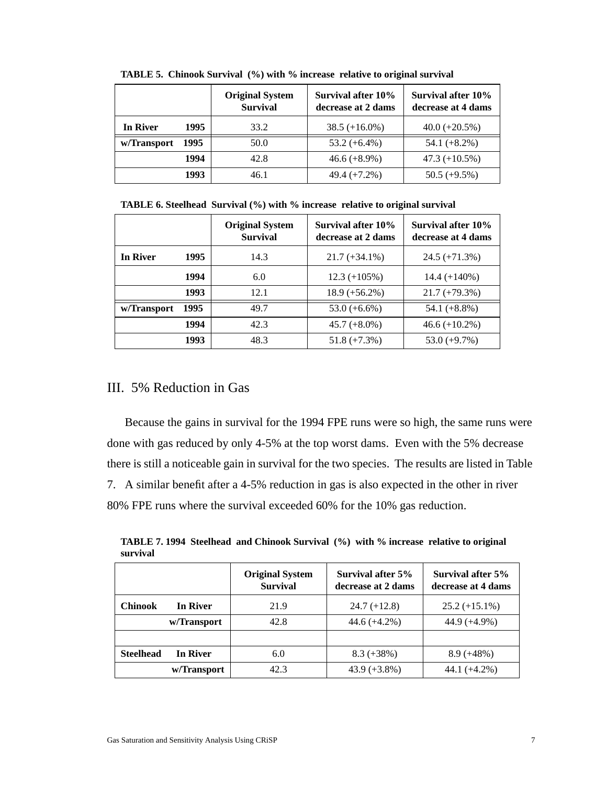|             |      | <b>Original System</b><br><b>Survival</b> | Survival after 10%<br>decrease at 2 dams | Survival after 10%<br>decrease at 4 dams |
|-------------|------|-------------------------------------------|------------------------------------------|------------------------------------------|
| In River    | 1995 | 33.2                                      | $38.5 (+16.0\%)$                         | $40.0 (+20.5%)$                          |
| w/Transport | 1995 | 50.0                                      | $53.2 (+6.4\%)$                          | $54.1 (+8.2\%)$                          |
|             | 1994 | 42.8                                      | $46.6 (+8.9\%)$                          | $47.3 (+10.5%)$                          |
|             | 1993 | 46.1                                      | $49.4 (+7.2%)$                           | $50.5 (+9.5%)$                           |

**TABLE 5. Chinook Survival (%) with % increase relative to original survival**

|  |  |  | TABLE 6. Steelhead Survival (%) with % increase relative to original survival |  |
|--|--|--|-------------------------------------------------------------------------------|--|
|--|--|--|-------------------------------------------------------------------------------|--|

|             |      | <b>Original System</b><br><b>Survival</b> | Survival after 10%<br>decrease at 2 dams | Survival after 10%<br>decrease at 4 dams |
|-------------|------|-------------------------------------------|------------------------------------------|------------------------------------------|
| In River    | 1995 | 14.3                                      | $21.7 (+34.1\%)$                         | $24.5 (+71.3%)$                          |
|             | 1994 | 6.0                                       | $12.3 (+105%)$                           | $14.4 (+140\%)$                          |
|             | 1993 | 12.1                                      | $18.9 (+56.2%)$                          | $21.7 (+79.3%)$                          |
| w/Transport | 1995 | 49.7                                      | $53.0 (+6.6%)$                           | 54.1 $(+8.8\%)$                          |
|             | 1994 | 42.3                                      | $45.7 (+8.0\%)$                          | $46.6 (+10.2%)$                          |
|             | 1993 | 48.3                                      | $51.8 (+7.3%)$                           | $53.0 (+9.7%)$                           |

## III. 5% Reduction in Gas

Because the gains in survival for the 1994 FPE runs were so high, the same runs were done with gas reduced by only 4-5% at the top worst dams. Even with the 5% decrease there is still a noticeable gain in survival for the two species. The results are listed in Table 7. A similar benefit after a 4-5% reduction in gas is also expected in the other in river 80% FPE runs where the survival exceeded 60% for the 10% gas reduction.

**TABLE 7. 1994 Steelhead and Chinook Survival (%) with % increase relative to original survival**

|                  |                 | <b>Original System</b><br><b>Survival</b> | Survival after 5%<br>decrease at 2 dams | Survival after 5%<br>decrease at 4 dams |
|------------------|-----------------|-------------------------------------------|-----------------------------------------|-----------------------------------------|
| <b>Chinook</b>   | <b>In River</b> | 21.9                                      | $24.7 (+12.8)$                          | $25.2 (+15.1\%)$                        |
|                  | w/Transport     | 42.8                                      | $44.6 (+4.2%)$                          | $44.9 (+4.9\%)$                         |
|                  |                 |                                           |                                         |                                         |
| <b>Steelhead</b> | <b>In River</b> | 6.0                                       | $8.3 (+38\%)$                           | $8.9 (+48%)$                            |
|                  | w/Transport     | 42.3                                      | $43.9 (+3.8\%)$                         | $44.1 (+4.2\%)$                         |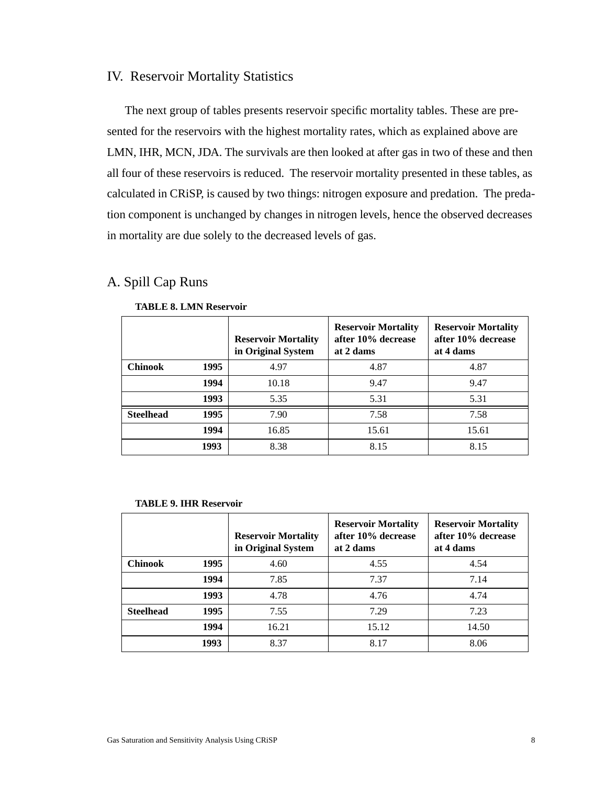## IV. Reservoir Mortality Statistics

The next group of tables presents reservoir specific mortality tables. These are presented for the reservoirs with the highest mortality rates, which as explained above are LMN, IHR, MCN, JDA. The survivals are then looked at after gas in two of these and then all four of these reservoirs is reduced. The reservoir mortality presented in these tables, as calculated in CRiSP, is caused by two things: nitrogen exposure and predation. The predation component is unchanged by changes in nitrogen levels, hence the observed decreases in mortality are due solely to the decreased levels of gas.

# A. Spill Cap Runs

|                  |      | <b>Reservoir Mortality</b><br>in Original System | <b>Reservoir Mortality</b><br>after 10% decrease<br>at 2 dams | <b>Reservoir Mortality</b><br>after 10% decrease<br>at 4 dams |
|------------------|------|--------------------------------------------------|---------------------------------------------------------------|---------------------------------------------------------------|
| <b>Chinook</b>   | 1995 | 4.97                                             | 4.87                                                          | 4.87                                                          |
|                  | 1994 | 10.18                                            | 9.47                                                          | 9.47                                                          |
|                  | 1993 | 5.35                                             | 5.31                                                          | 5.31                                                          |
| <b>Steelhead</b> | 1995 | 7.90                                             | 7.58                                                          | 7.58                                                          |
|                  | 1994 | 16.85                                            | 15.61                                                         | 15.61                                                         |
|                  | 1993 | 8.38                                             | 8.15                                                          | 8.15                                                          |

#### **TABLE 8. LMN Reservoir**

#### **TABLE 9. IHR Reservoir**

|                  |      | <b>Reservoir Mortality</b><br>in Original System | <b>Reservoir Mortality</b><br>after 10% decrease<br>at 2 dams | <b>Reservoir Mortality</b><br>after 10% decrease<br>at 4 dams |
|------------------|------|--------------------------------------------------|---------------------------------------------------------------|---------------------------------------------------------------|
| <b>Chinook</b>   | 1995 | 4.60                                             | 4.55                                                          | 4.54                                                          |
|                  | 1994 | 7.85                                             | 7.37                                                          | 7.14                                                          |
|                  | 1993 | 4.78                                             | 4.76                                                          | 4.74                                                          |
| <b>Steelhead</b> | 1995 | 7.55                                             | 7.29                                                          | 7.23                                                          |
|                  | 1994 | 16.21                                            | 15.12                                                         | 14.50                                                         |
|                  | 1993 | 8.37                                             | 8.17                                                          | 8.06                                                          |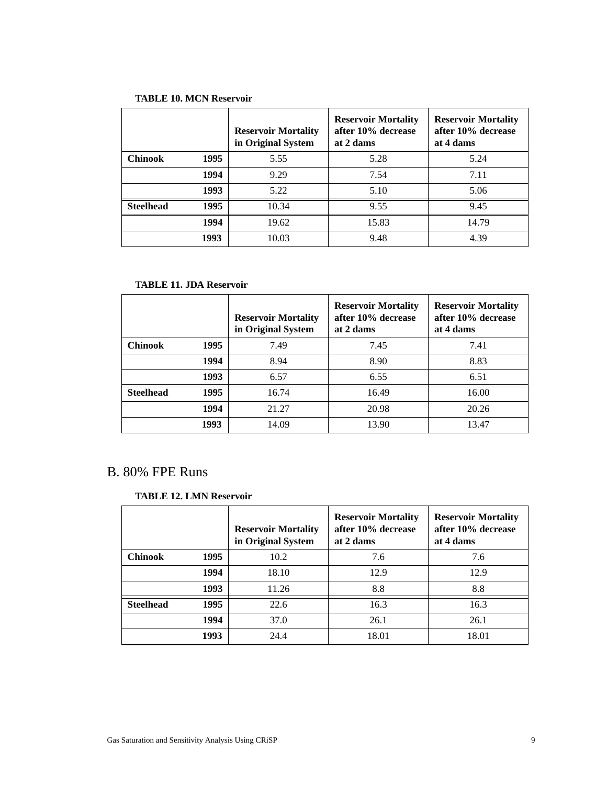### **TABLE 10. MCN Reservoir**

|                  |      | <b>Reservoir Mortality</b><br>in Original System | <b>Reservoir Mortality</b><br>after 10% decrease<br>at 2 dams | <b>Reservoir Mortality</b><br>after 10% decrease<br>at 4 dams |
|------------------|------|--------------------------------------------------|---------------------------------------------------------------|---------------------------------------------------------------|
| Chinook          | 1995 | 5.55                                             | 5.28                                                          | 5.24                                                          |
|                  | 1994 | 9.29                                             | 7.54                                                          | 7.11                                                          |
|                  | 1993 | 5.22                                             | 5.10                                                          | 5.06                                                          |
| <b>Steelhead</b> | 1995 | 10.34                                            | 9.55                                                          | 9.45                                                          |
|                  | 1994 | 19.62                                            | 15.83                                                         | 14.79                                                         |
|                  | 1993 | 10.03                                            | 9.48                                                          | 4.39                                                          |

### **TABLE 11. JDA Reservoir**

|                  |      | <b>Reservoir Mortality</b><br>in Original System | <b>Reservoir Mortality</b><br>after 10% decrease<br>at 2 dams | <b>Reservoir Mortality</b><br>after 10% decrease<br>at 4 dams |
|------------------|------|--------------------------------------------------|---------------------------------------------------------------|---------------------------------------------------------------|
| <b>Chinook</b>   | 1995 | 7.49                                             | 7.45                                                          | 7.41                                                          |
|                  | 1994 | 8.94                                             | 8.90                                                          | 8.83                                                          |
|                  | 1993 | 6.57                                             | 6.55                                                          | 6.51                                                          |
| <b>Steelhead</b> | 1995 | 16.74                                            | 16.49                                                         | 16.00                                                         |
|                  | 1994 | 21.27                                            | 20.98                                                         | 20.26                                                         |
|                  | 1993 | 14.09                                            | 13.90                                                         | 13.47                                                         |

# B. 80% FPE Runs

#### **TABLE 12. LMN Reservoir**

|                  |      | <b>Reservoir Mortality</b><br>in Original System | <b>Reservoir Mortality</b><br>after 10% decrease<br>at 2 dams | <b>Reservoir Mortality</b><br>after 10% decrease<br>at 4 dams |
|------------------|------|--------------------------------------------------|---------------------------------------------------------------|---------------------------------------------------------------|
| <b>Chinook</b>   | 1995 | 10.2                                             | 7.6                                                           | 7.6                                                           |
|                  | 1994 | 18.10                                            | 12.9                                                          | 12.9                                                          |
|                  | 1993 | 11.26                                            | 8.8                                                           | 8.8                                                           |
| <b>Steelhead</b> | 1995 | 22.6                                             | 16.3                                                          | 16.3                                                          |
|                  | 1994 | 37.0                                             | 26.1                                                          | 26.1                                                          |
|                  | 1993 | 24.4                                             | 18.01                                                         | 18.01                                                         |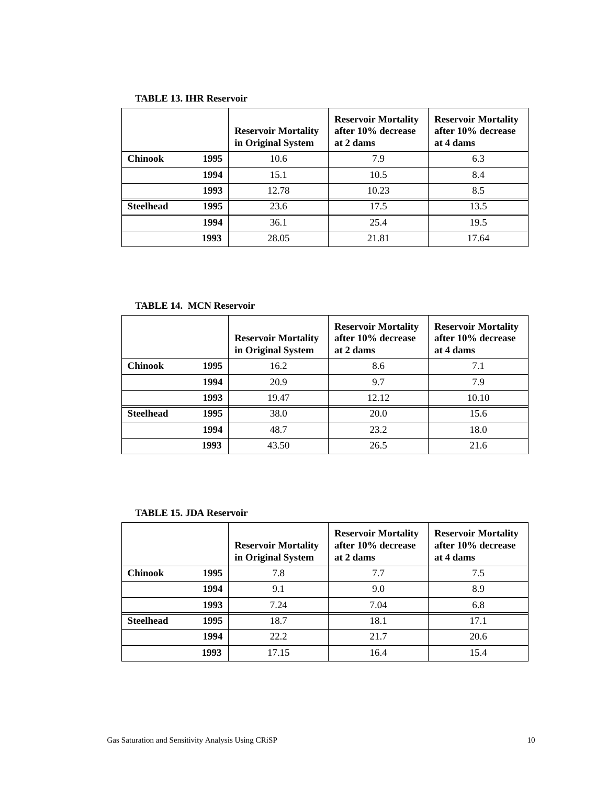|                  |      | <b>Reservoir Mortality</b><br>in Original System | <b>Reservoir Mortality</b><br>after 10% decrease<br>at 2 dams | <b>Reservoir Mortality</b><br>after 10% decrease<br>at 4 dams |
|------------------|------|--------------------------------------------------|---------------------------------------------------------------|---------------------------------------------------------------|
| <b>Chinook</b>   | 1995 | 10.6                                             | 7.9                                                           | 6.3                                                           |
|                  | 1994 | 15.1                                             | 10.5                                                          | 8.4                                                           |
|                  | 1993 | 12.78                                            | 10.23                                                         | 8.5                                                           |
| <b>Steelhead</b> | 1995 | 23.6                                             | 17.5                                                          | 13.5                                                          |
|                  | 1994 | 36.1                                             | 25.4                                                          | 19.5                                                          |
|                  | 1993 | 28.05                                            | 21.81                                                         | 17.64                                                         |

### **TABLE 14. MCN Reservoir**

|                  |      | <b>Reservoir Mortality</b><br>in Original System | <b>Reservoir Mortality</b><br>after 10% decrease<br>at 2 dams | <b>Reservoir Mortality</b><br>after 10% decrease<br>at 4 dams |
|------------------|------|--------------------------------------------------|---------------------------------------------------------------|---------------------------------------------------------------|
| <b>Chinook</b>   | 1995 | 16.2                                             | 8.6                                                           | 7.1                                                           |
|                  | 1994 | 20.9                                             | 9.7                                                           | 7.9                                                           |
|                  | 1993 | 19.47                                            | 12.12                                                         | 10.10                                                         |
| <b>Steelhead</b> | 1995 | 38.0                                             | 20.0                                                          | 15.6                                                          |
|                  | 1994 | 48.7                                             | 23.2                                                          | 18.0                                                          |
|                  | 1993 | 43.50                                            | 26.5                                                          | 21.6                                                          |

#### **TABLE 15. JDA Reservoir**

|                  |      | <b>Reservoir Mortality</b><br>in Original System | <b>Reservoir Mortality</b><br>after 10% decrease<br>at 2 dams | <b>Reservoir Mortality</b><br>after 10% decrease<br>at 4 dams |
|------------------|------|--------------------------------------------------|---------------------------------------------------------------|---------------------------------------------------------------|
| <b>Chinook</b>   | 1995 | 7.8                                              | 7.7                                                           | 7.5                                                           |
|                  | 1994 | 9.1                                              | 9.0                                                           | 8.9                                                           |
|                  | 1993 | 7.24                                             | 7.04                                                          | 6.8                                                           |
| <b>Steelhead</b> | 1995 | 18.7                                             | 18.1                                                          | 17.1                                                          |
|                  | 1994 | 22.2                                             | 21.7                                                          | 20.6                                                          |
|                  | 1993 | 17.15                                            | 16.4                                                          | 15.4                                                          |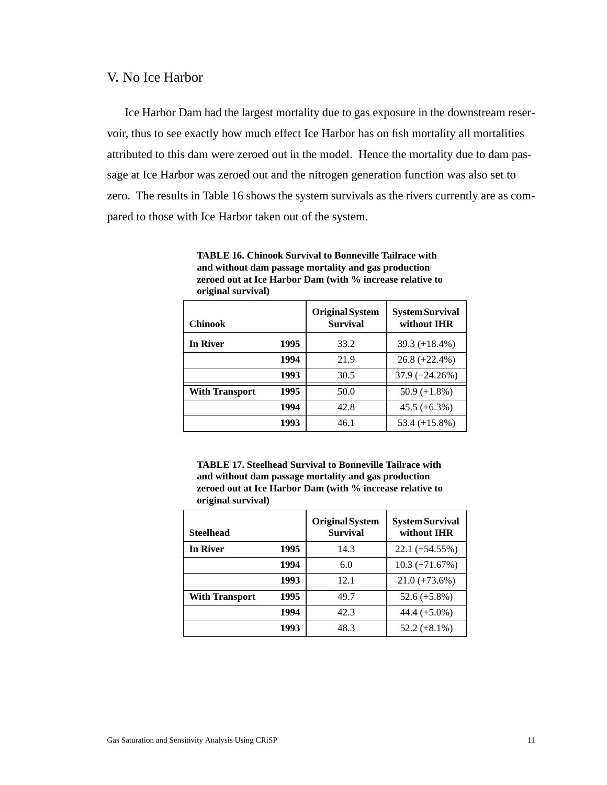### V. No Ice Harbor

Ice Harbor Dam had the largest mortality due to gas exposure in the downstream reservoir, thus to see exactly how much effect Ice Harbor has on fish mortality all mortalities attributed to this dam were zeroed out in the model. Hence the mortality due to dam passage at Ice Harbor was zeroed out and the nitrogen generation function was also set to zero. The results in Table 16 shows the system survivals as the rivers currently are as compared to those with Ice Harbor taken out of the system.

| original survival)    |      |                                           |                                       |
|-----------------------|------|-------------------------------------------|---------------------------------------|
| <b>Chinook</b>        |      | <b>Original System</b><br><b>Survival</b> | <b>System Survival</b><br>without IHR |
| In River              | 1995 | 33.2                                      | 39.3 $(+18.4\%)$                      |
|                       | 1994 | 21.9                                      | $26.8 (+22.4\%)$                      |
|                       | 1993 | 30.5                                      | $37.9 (+24.26%)$                      |
| <b>With Transport</b> | 1995 | 50.0                                      | $50.9 (+1.8\%)$                       |
|                       | 1994 | 42.8                                      | $45.5 (+6.3%)$                        |
|                       | 1993 | 46.1                                      | $53.4 (+15.8%)$                       |

**TABLE 16. Chinook Survival to Bonneville Tailrace with and without dam passage mortality and gas production zeroed out at Ice Harbor Dam (with % increase relative to original survival)**

**TABLE 17. Steelhead Survival to Bonneville Tailrace with and without dam passage mortality and gas production zeroed out at Ice Harbor Dam (with % increase relative to original survival)**

| <b>Steelhead</b>      |      | <b>Original System</b><br><b>Survival</b> | <b>System Survival</b><br>without IHR |
|-----------------------|------|-------------------------------------------|---------------------------------------|
| <b>In River</b>       | 1995 | 14.3                                      | $22.1 (+54.55%)$                      |
|                       | 1994 | 6.0                                       | $10.3 (+71.67%)$                      |
|                       | 1993 | 12.1                                      | $21.0 (+73.6%)$                       |
| <b>With Transport</b> | 1995 | 49.7                                      | 52.6 $(+5.8\%)$                       |
|                       | 1994 | 42.3                                      | $44.4 (+5.0\%)$                       |
|                       | 1993 | 48.3                                      | $52.2 (+8.1\%)$                       |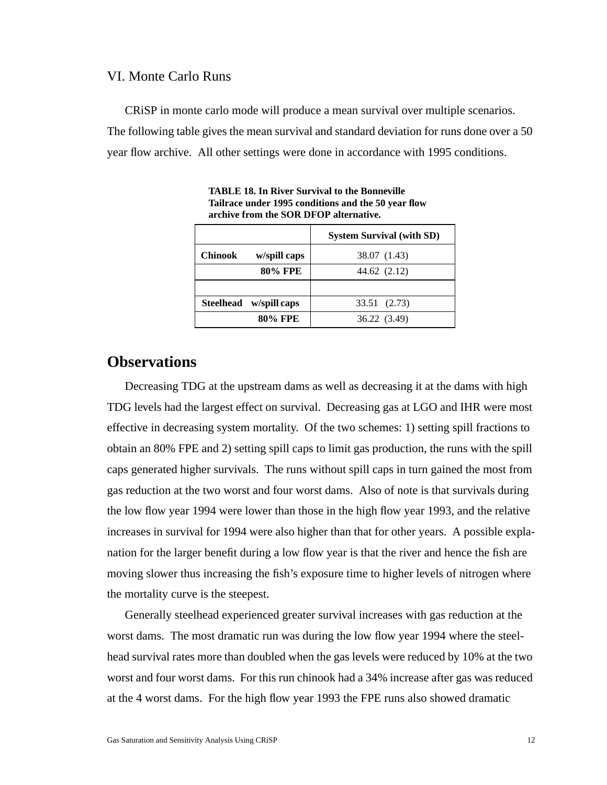### VI. Monte Carlo Runs

CRiSP in monte carlo mode will produce a mean survival over multiple scenarios. The following table gives the mean survival and standard deviation for runs done over a 50 year flow archive. All other settings were done in accordance with 1995 conditions.

|                                | <b>System Survival (with SD)</b> |
|--------------------------------|----------------------------------|
| <b>Chinook</b><br>w/spill caps | 38.07 (1.43)                     |
| 80% FPE                        | 44.62 (2.12)                     |
|                                |                                  |
| Steelhead w/spill caps         | 33.51 (2.73)                     |
| 80% FPE                        | 36.22 (3.49)                     |

**TABLE 18. In River Survival to the Bonneville Tailrace under 1995 conditions and the 50 year flow archive from the SOR DFOP alternative.**

# **Observations**

Decreasing TDG at the upstream dams as well as decreasing it at the dams with high TDG levels had the largest effect on survival. Decreasing gas at LGO and IHR were most effective in decreasing system mortality. Of the two schemes: 1) setting spill fractions to obtain an 80% FPE and 2) setting spill caps to limit gas production, the runs with the spill caps generated higher survivals. The runs without spill caps in turn gained the most from gas reduction at the two worst and four worst dams. Also of note is that survivals during the low flow year 1994 were lower than those in the high flow year 1993, and the relative increases in survival for 1994 were also higher than that for other years. A possible explanation for the larger benefit during a low flow year is that the river and hence the fish are moving slower thus increasing the fish's exposure time to higher levels of nitrogen where the mortality curve is the steepest.

Generally steelhead experienced greater survival increases with gas reduction at the worst dams. The most dramatic run was during the low flow year 1994 where the steelhead survival rates more than doubled when the gas levels were reduced by 10% at the two worst and four worst dams. For this run chinook had a 34% increase after gas was reduced at the 4 worst dams. For the high flow year 1993 the FPE runs also showed dramatic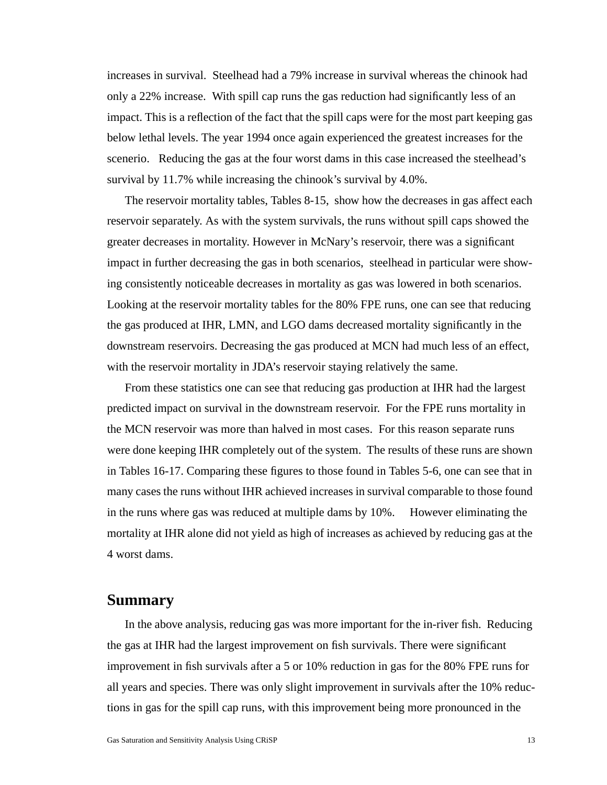increases in survival. Steelhead had a 79% increase in survival whereas the chinook had only a 22% increase. With spill cap runs the gas reduction had significantly less of an impact. This is a reflection of the fact that the spill caps were for the most part keeping gas below lethal levels. The year 1994 once again experienced the greatest increases for the scenerio. Reducing the gas at the four worst dams in this case increased the steelhead's survival by 11.7% while increasing the chinook's survival by 4.0%.

The reservoir mortality tables, Tables 8-15, show how the decreases in gas affect each reservoir separately. As with the system survivals, the runs without spill caps showed the greater decreases in mortality. However in McNary's reservoir, there was a significant impact in further decreasing the gas in both scenarios, steelhead in particular were showing consistently noticeable decreases in mortality as gas was lowered in both scenarios. Looking at the reservoir mortality tables for the 80% FPE runs, one can see that reducing the gas produced at IHR, LMN, and LGO dams decreased mortality significantly in the downstream reservoirs. Decreasing the gas produced at MCN had much less of an effect, with the reservoir mortality in JDA's reservoir staying relatively the same.

From these statistics one can see that reducing gas production at IHR had the largest predicted impact on survival in the downstream reservoir. For the FPE runs mortality in the MCN reservoir was more than halved in most cases. For this reason separate runs were done keeping IHR completely out of the system. The results of these runs are shown in Tables 16-17. Comparing these figures to those found in Tables 5-6, one can see that in many cases the runs without IHR achieved increases in survival comparable to those found in the runs where gas was reduced at multiple dams by 10%. However eliminating the mortality at IHR alone did not yield as high of increases as achieved by reducing gas at the 4 worst dams.

## **Summary**

In the above analysis, reducing gas was more important for the in-river fish. Reducing the gas at IHR had the largest improvement on fish survivals. There were significant improvement in fish survivals after a 5 or 10% reduction in gas for the 80% FPE runs for all years and species. There was only slight improvement in survivals after the 10% reductions in gas for the spill cap runs, with this improvement being more pronounced in the